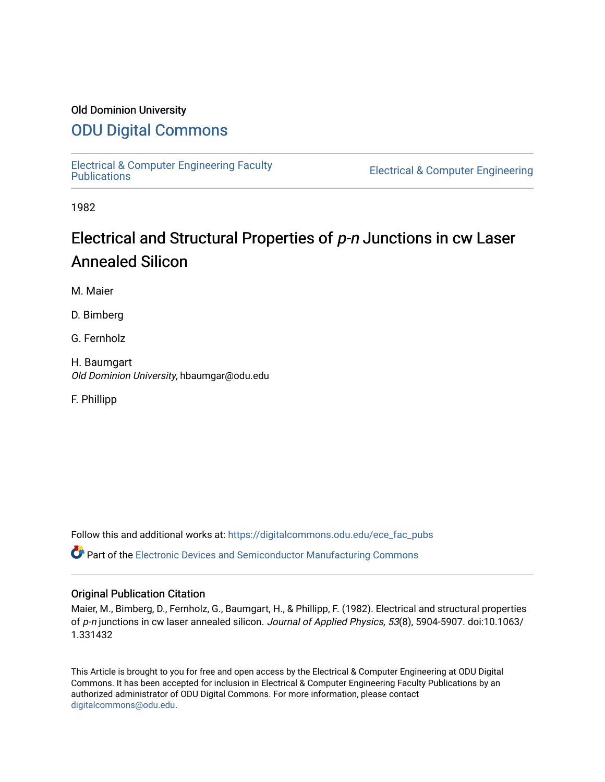### Old Dominion University

## [ODU Digital Commons](https://digitalcommons.odu.edu/)

[Electrical & Computer Engineering Faculty](https://digitalcommons.odu.edu/ece_fac_pubs) 

**Electrical & Computer Engineering** 

1982

# Electrical and Structural Properties of p-n Junctions in cw Laser Annealed Silicon

M. Maier

D. Bimberg

G. Fernholz

H. Baumgart Old Dominion University, hbaumgar@odu.edu

F. Phillipp

Follow this and additional works at: [https://digitalcommons.odu.edu/ece\\_fac\\_pubs](https://digitalcommons.odu.edu/ece_fac_pubs?utm_source=digitalcommons.odu.edu%2Fece_fac_pubs%2F243&utm_medium=PDF&utm_campaign=PDFCoverPages) 

Part of the [Electronic Devices and Semiconductor Manufacturing Commons](http://network.bepress.com/hgg/discipline/272?utm_source=digitalcommons.odu.edu%2Fece_fac_pubs%2F243&utm_medium=PDF&utm_campaign=PDFCoverPages) 

#### Original Publication Citation

Maier, M., Bimberg, D., Fernholz, G., Baumgart, H., & Phillipp, F. (1982). Electrical and structural properties of p-n junctions in cw laser annealed silicon. Journal of Applied Physics, 53(8), 5904-5907. doi:10.1063/ 1.331432

This Article is brought to you for free and open access by the Electrical & Computer Engineering at ODU Digital Commons. It has been accepted for inclusion in Electrical & Computer Engineering Faculty Publications by an authorized administrator of ODU Digital Commons. For more information, please contact [digitalcommons@odu.edu](mailto:digitalcommons@odu.edu).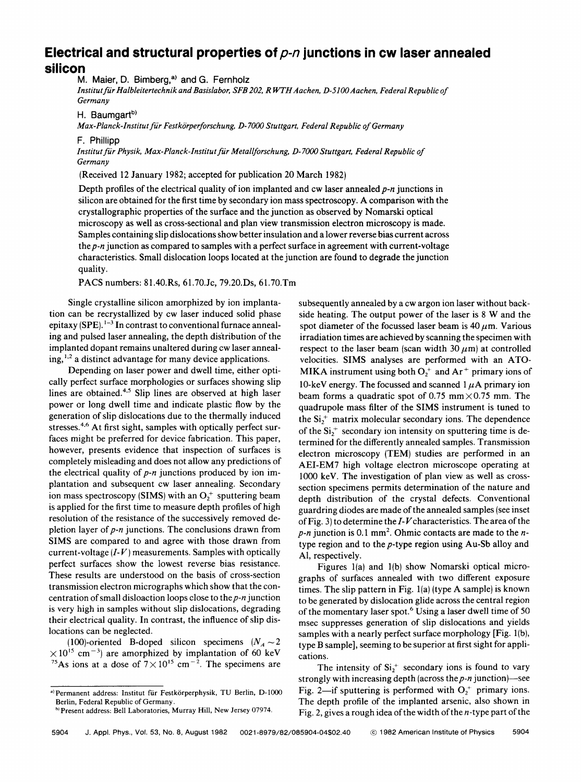## **Electrical and structural properties of** p-n **junctions in cw laser annealed silicon**

M. Maier, D. Bimberg,<sup>a)</sup> and G. Fernholz

*Jnstitutfur Halbleitertechnik and Basislabor, SFB 202, R WTH Aachen, D-5100Aachen, Federal Republic of Germany* 

H. Baumgart<sup>b)</sup>

*Max-Planck-Jnstitut fur Festkorperforschung, D-7000 Stuttgart, Federal Republic of Germany* 

F. Phillipp

*Jnstitut fur Physik, Max-Planck-Institut fur Metal/forschung, D-7000 Stuttgart, Federal Republic of Germany* 

(Received 12 January 1982; accepted for publication 20 March 1982)

Depth profiles of the electrical quality of ion implanted and cw laser annealed *p-n* junctions in silicon are obtained for the first time by secondary ion mass spectroscopy. **A** comparison with the crystallographic properties of the surface and the junction as observed by Nomarski optical microscopy as well as cross-sectional and plan view transmission electron microscopy is made. Samples containing slip dislocations show better insulation and a lower reverse bias current across the *p-n* junction as compared to samples with a perfect surface in agreement with current-voltage characteristics. Small dislocation loops located at the junction are found to degrade the junction quality.

**PACS** numbers: 81.40.Rs, 61.70.Jc, 79.20.Ds, 61.70.Tm

Single crystalline silicon amorphized by ion implantation can be recrystallized by cw laser induced solid phase epitaxy (SPE).<sup>1-3</sup> In contrast to conventional furnace annealing and pulsed laser annealing, the depth distribution of the implanted dopant remains unaltered during cw laser annealing,<sup>1,2</sup> a distinct advantage for many device applications.

Depending on laser power and dwell time, either optically perfect surface morphologies or surfaces showing slip lines are obtained.<sup>4,5</sup> Slip lines are observed at high laser power or long dwell time and indicate plastic flow by the generation of slip dislocations due to the thermally induced stresses.<sup>4,6</sup> At first sight, samples with optically perfect surfaces might be preferred for device fabrication. This paper, however, presents evidence that inspection of surfaces is completely misleading and does not allow any predictions of the electrical quality of *p-n* junctions produced by ion implantation and subsequent cw laser annealing. Secondary ion mass spectroscopy (SIMS) with an  $O<sub>2</sub>$ <sup>+</sup> sputtering beam is applied for the first time to measure depth profiles of high resolution of the resistance of the successively removed depletion layer of *p-n* junctions. The conclusions drawn from **SIMS** are compared to and agree with those drawn from current-voltage  $(I-V)$  measurements. Samples with optically perfect surfaces show the lowest reverse bias resistance. These results are understood on the basis of cross-section transmission electron micrographs which show that the concentration of small disloaction loops close to the *p-n* junction is very high in samples without slip dislocations, degrading their electrical quality. In contrast, the influence of slip dislocations can be neglected.

(100)-oriented B-doped silicon specimens  $(N_A \sim 2)$  $\times 10^{15}$  cm<sup>-3</sup>) are amorphized by implantation of 60 keV <sup>75</sup>As ions at a dose of  $7 \times 10^{15}$  cm<sup>-2</sup>. The specimens are subsequently annealed by a cw argon ion laser without backside heating. The output power of the laser is 8 W and the spot diameter of the focussed laser beam is  $40 \mu m$ . Various irradiation times are achieved by scanning the specimen with respect to the laser beam (scan width  $30 \mu m$ ) at controlled velocities. SIMS analyses are performed with an ATO-**MIKA** instrument using both  $O<sub>1</sub><sup>+</sup>$  and  $Ar<sup>+</sup>$  primary ions of 10-keV energy. The focussed and scanned  $1 \mu A$  primary ion beam forms a quadratic spot of 0.75 mm $\times$ 0.75 mm. The quadrupole mass filter of the **SIMS** instrument is tuned to the  $Si<sub>2</sub><sup>+</sup>$  matrix molecular secondary ions. The dependence of the  $Si<sub>2</sub><sup>+</sup>$  secondary ion intensity on sputtering time is determined for the differently annealed samples. Transmission electron microscopy **(TEM)** studies are performed in an AEI-EM7 high voltage electron microscope operating at 1000 keV. The investigation of plan view as well as crosssection specimens permits determination of the nature and depth distribution of the crystal defects. Conventional guardring diodes are made of the annealed samples (see inset of Fig. 3) to determine the *1-V* characteristics. The area of the  $p-n$  junction is 0.1 mm<sup>2</sup>. Ohmic contacts are made to the  $n$ type region and to the p-type region using Au-Sb alloy and Al, respectively.

Figures l(a) and l(b) show Nomarski optical micrographs of surfaces annealed with two different exposure times. The slip pattern in Fig. l(a) (type A sample) is known to be generated by dislocation glide across the central region of the momentary laser spot.<sup>6</sup> Using a laser dwell time of 50 msec suppresses generation of slip dislocations and yields samples with a nearly perfect surface morphology [Fig. l(b), type B sample], seeming to be superior at first sight for applications.

The intensity of  $Si<sub>2</sub><sup>+</sup>$  secondary ions is found to vary strongly with increasing depth (across the *p-n* junction)-see Fig. 2-if sputtering is performed with  $O_2^+$  primary ions. The depth profile of the implanted arsenic, also shown in Fig. 2, gives a rough idea of the width of the  $n$ -type part of the

<sup>&</sup>lt;sup>a)</sup> Permanent address: Institut für Festkörperphysik, TU Berlin, D-1000 Berlin, Federal Republic of Germany.

hi Present address: Bell Laboratories, Murray Hill, New Jersey 07974.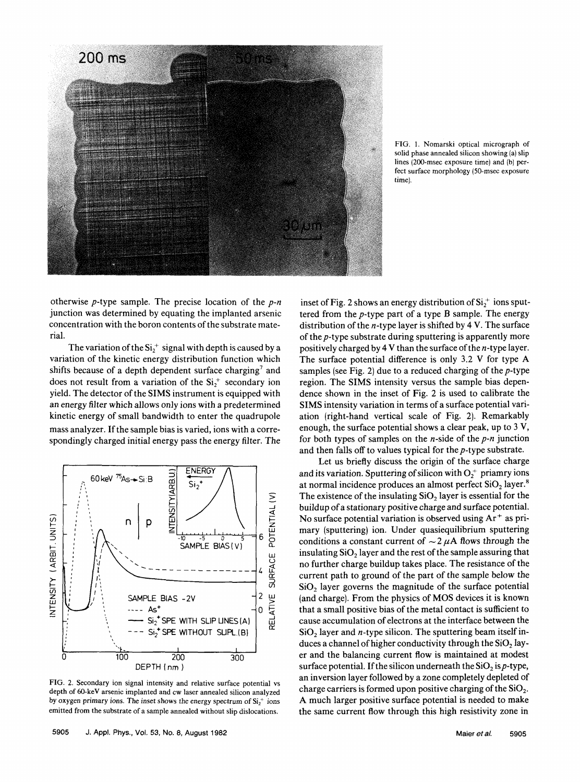

FIG. I. Nomarski optical micrograph of solid phase annealed silicon showing (a) slip lines (200-msec exposure time) and (b) perfect surface morphology (50-msec exposure time).

otherwise p-type sample. The precise location of the *p-n*  junction was determined by equating the implanted arsenic concentration with the boron contents of the substrate material.

The variation of the  $Si_2^+$  signal with depth is caused by a variation of the kinetic energy distribution function which shifts because of a depth dependent surface charging<sup>7</sup> and does not result from a variation of the  $Si<sub>1</sub><sup>+</sup>$  secondary ion yield. The detector of the **SIMS** instrument is equipped with an energy filter which allows only ions with a predetermined kinetic energy of small bandwidth to enter the quadrupole mass analyzer. If the sample bias is varied, ions with a correspondingly charged initial energy pass the energy filter. The



FIG. 2. Secondary ion signal intensity and relative surface potential vs depth of 60-keV arsenic implanted and cw laser annealed silicon analyzed by oxygen primary ions. The inset shows the energy spectrum of  $Si<sub>1</sub><sup>+</sup>$  ions emitted from the substrate of a sample annealed without slip dislocations.

inset of Fig. 2 shows an energy distribution of  $Si_2^+$  ions sputtered from the  $p$ -type part of a type  $B$  sample. The energy distribution of the  $n$ -type layer is shifted by 4 V. The surface of the p-type substrate during sputtering is apparently more positively charged by  $4V$  than the surface of the *n*-type layer. The surface potential difference is only 3.2 V for type A samples (see Fig. 2) due to a reduced charging of the  $p$ -type region. The **SIMS** intensity versus the sample bias dependence shown in the inset of Fig. 2 is used to calibrate the **SIMS** intensity variation in terms of a surface potential variation (right-hand vertical scale of Fig. 2). Remarkably enough, the surface potential shows a clear peak, up to 3 **V,**  for both types of samples on the n-side of the *p-n* junction and then falls off to values typical for the p-type substrate.

Let us briefly discuss the origin of the surface charge and its variation. Sputtering of silicon with  $O<sub>2</sub><sup>+</sup>$  priamry ions at normal incidence produces an almost perfect  $SiO<sub>2</sub>$  layer.<sup>8</sup> The existence of the insulating  $SiO<sub>2</sub>$  layer is essential for the buildup of a stationary positive charge and surface potential. No surface potential variation is observed using  $Ar^+$  as primary (sputtering) ion. Under quasiequilibrium sputtering conditions a constant current of  $\sim$  2  $\mu$ A flows through the insulating **Si02** layer and the rest of the sample assuring that no further charge buildup takes place. The resistance of the current path to ground of the part of the sample below the **Si02** layer governs the magnitude of the surface potential (and charge). From the physics of **MOS** devices it is known that a small positive bias of the metal contact is sufficient to cause accumulation of electrons at the interface between the  $SiO<sub>2</sub>$  layer and *n*-type silicon. The sputtering beam itself induces a channel of higher conductivity through the  $SiO<sub>2</sub>$  layer and the balancing current flow is maintained at modest surface potential. If the silicon underneath the  $SiO<sub>2</sub>$  is p-type, an inversion layer followed by a zone completely depleted of charge carriers is formed upon positive charging of the **Si02.**  A much larger positive surface potential is needed to make the same current flow through this high resistivity zone in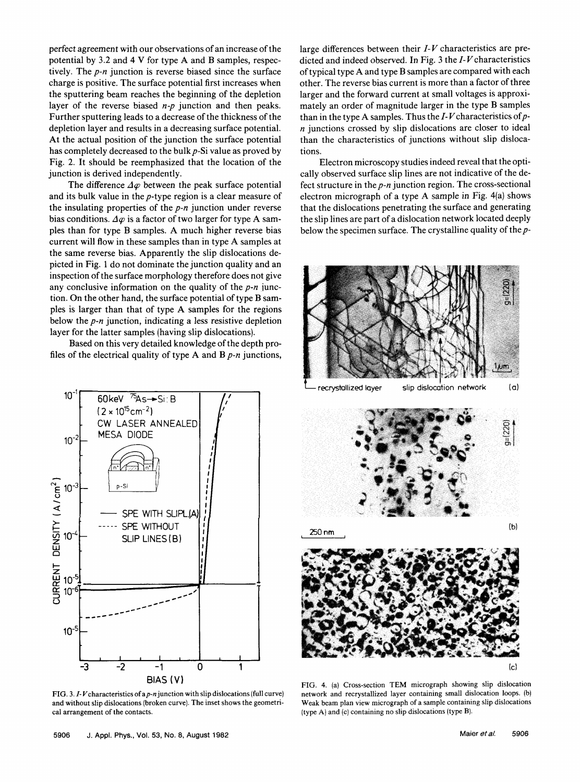perfect agreement with our observations of an increase of the potential by 3.2 and 4 V for type A and B samples, respectively. The *p-n* junction is reverse biased since the surface charge is positive. The surface potential first increases when the sputtering beam reaches the beginning of the depletion layer of the reverse biased *n-p* junction and then peaks. Further sputtering leads to a decrease of the thickness of the depletion layer and results in a decreasing surface potential. At the actual position of the junction the surface potential has completely decreased to the bulk *p-Si* value as proved by Fig. 2. It should be reemphasized that the location of the junction is derived independently.

The difference  $\Delta\varphi$  between the peak surface potential and its bulk value in the p-type region is a clear measure of the insulating properties of the *p-n* junction under reverse bias conditions.  $\Delta \varphi$  is a factor of two larger for type A samples than for type B samples. A much higher reverse bias current will flow in these samples than in type A samples at the same reverse bias. Apparently the slip dislocations depicted in Fig. 1 do not dominate the junction quality and an inspection of the surface morphology therefore does not give any conclusive information on the quality of the *p-n* junction. On the other hand, the surface potential of type B samples is larger than that of type **A** samples for the regions below the *p-n* junction, indicating a less resistive depletion layer for the latter samples (having slip dislocations).

Based on this very detailed knowledge of the depth profiles of the electrical quality of type A and **B** *p-n* junctions,



FIG. 3.  $I-V$  characteristics of a  $p$ -n junction with slip dislocations (full curve) and without slip dislocations (broken curve). The inset shows the geometrical arrangement of the contacts.

large differences between their *I- V* characteristics are predicted and indeed observed. In Fig. 3 the *I- V* characteristics of typical type A and type B samples are compared with each other. The reverse bias current is more than a factor of three larger and the forward current at small voltages is approximately an order of magnitude larger in the type **B** samples than in the type A samples. Thus the *I- V* characteristics of p*n* junctions crossed by slip dislocations are closer to ideal than the characteristics of junctions without slip dislocations.

Electron microscopy studies indeed reveal that the optically observed surface slip lines are not indicative of the defect structure in the *p-n* junction region. The cross-sectional electron micrograph of a type A sample in Fig. 4(a) shows that the dislocations penetrating the surface and generating the slip lines are part of a dislocation network located deeply below the specimen surface. The crystalline quality of the *p-*



FIG. 4. (a) Cross-section TEM micrograph showing slip dislocation network and recrystallized layer containing small dislocation loops. (b) Weak beam plan view micrograph of a sample containing slip dislocations (type A) and (c) containing no slip dislocations (type B).